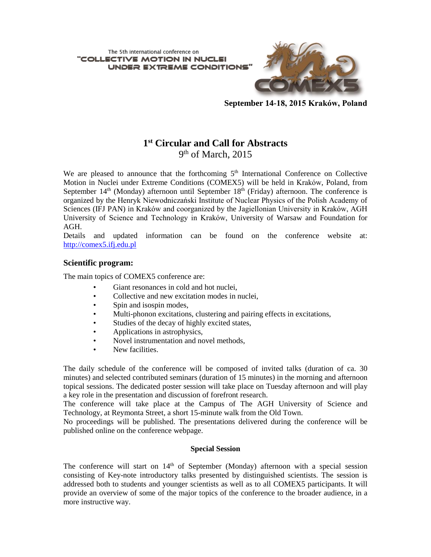The 5th international conference on "COLLECTIVE MOTION IN NUCL UNDER EXTREME CONDITIONS'



**September 14-18, 2015 Kraków, Poland**

# **1 st Circular and Call for Abstracts** 9<sup>th</sup> of March, 2015

We are pleased to announce that the forthcoming  $5<sup>th</sup>$  International Conference on Collective Motion in Nuclei under Extreme Conditions (COMEX5) will be held in Kraków, Poland, from September  $14<sup>th</sup>$  (Monday) afternoon until September  $18<sup>th</sup>$  (Friday) afternoon. The conference is organized by the Henryk Niewodniczański Institute of Nuclear Physics of the Polish Academy of Sciences (IFJ PAN) in Kraków and coorganized by the Jagiellonian University in Kraków, AGH University of Science and Technology in Kraków, University of Warsaw and Foundation for AGH.

Details and updated information can be found on the conference website at: [http://comex5.ifj.edu.pl](http://comex5.ifj.edu.pl/)

## **Scientific program:**

The main topics of COMEX5 conference are:

- Giant resonances in cold and hot nuclei,
- Collective and new excitation modes in nuclei,
- Spin and isospin modes,
- Multi-phonon excitations, clustering and pairing effects in excitations,
- Studies of the decay of highly excited states,
- Applications in astrophysics,
- Novel instrumentation and novel methods,
- New facilities.

The daily schedule of the conference will be composed of invited talks (duration of ca. 30 minutes) and selected contributed seminars (duration of 15 minutes) in the morning and afternoon topical sessions. The dedicated poster session will take place on Tuesday afternoon and will play a key role in the presentation and discussion of forefront research.

The conference will take place at the Campus of The AGH University of Science and Technology, at Reymonta Street, a short 15-minute walk from the Old Town.

No proceedings will be published. The presentations delivered during the conference will be published online on the conference webpage.

### **Special Session**

The conference will start on  $14<sup>th</sup>$  of September (Monday) afternoon with a special session consisting of Key-note introductory talks presented by distinguished scientists. The session is addressed both to students and younger scientists as well as to all COMEX5 participants. It will provide an overview of some of the major topics of the conference to the broader audience, in a more instructive way.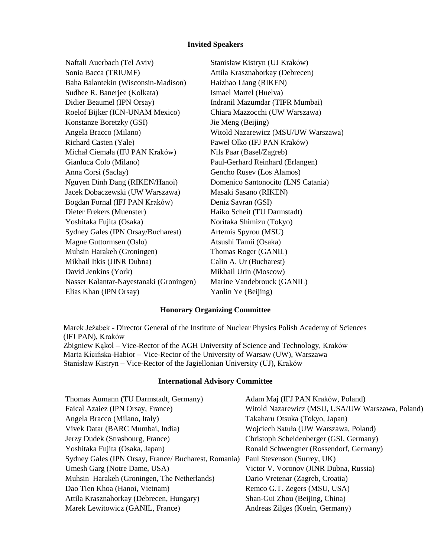#### **Invited Speakers**

Naftali Auerbach (Tel Aviv) Stanisław Kistryn (UJ Kraków) Sonia Bacca (TRIUMF) Attila Krasznahorkay (Debrecen) Baha Balantekin (Wisconsin-Madison) Haizhao Liang (RIKEN) Sudhee R. Banerjee (Kolkata) Ismael Martel (Huelva) Didier Beaumel (IPN Orsay) Indranil Mazumdar (TIFR Mumbai) Roelof Bijker (ICN-UNAM Mexico) Chiara Mazzocchi (UW Warszawa) Konstanze Boretzky (GSI) Jie Meng (Beijing) Angela Bracco (Milano) Witold Nazarewicz (MSU/UW Warszawa) Richard Casten (Yale) Paweł Olko (IFJ PAN Kraków) Michał Ciemała (IFJ PAN Kraków) Nils Paar (Basel/Zagreb) Gianluca Colo (Milano) Paul-Gerhard Reinhard (Erlangen) Anna Corsi (Saclay) Gencho Rusev (Los Alamos) Nguyen Dinh Dang (RIKEN/Hanoi) Domenico Santonocito (LNS Catania) Jacek Dobaczewski (UW Warszawa) Masaki Sasano (RIKEN) Bogdan Fornal (IFJ PAN Kraków) Deniz Savran (GSI) Dieter Frekers (Muenster) Haiko Scheit (TU Darmstadt) Yoshitaka Fujita (Osaka) Noritaka Shimizu (Tokyo) Sydney Gales (IPN Orsay/Bucharest) Artemis Spyrou (MSU) Magne Guttormsen (Oslo) Atsushi Tamii (Osaka) Muhsin Harakeh (Groningen) Thomas Roger (GANIL) Mikhail Itkis (JINR Dubna) Calin A. Ur (Bucharest) David Jenkins (York) Mikhail Urin (Moscow) Nasser Kalantar-Nayestanaki (Groningen) Marine Vandebrouck (GANIL) Elias Khan (IPN Orsay) Yanlin Ye (Beijing)

#### **Honorary Organizing Committee**

Marek Jeżabek - Director General of the Institute of Nuclear Physics Polish Academy of Sciences (IFJ PAN), Kraków Zbigniew Kąkol – Vice-Rector of the AGH University of Science and Technology, Kraków Marta Kicińska-Habior – Vice-Rector of the University of Warsaw (UW), Warszawa Stanisław Kistryn – Vice-Rector of the Jagiellonian University (UJ), Kraków

#### **International Advisory Committee**

| Thomas Aumann (TU Darmstadt, Germany)                                            | Adam Maj (IFJ PAN Kraków, Poland)                |
|----------------------------------------------------------------------------------|--------------------------------------------------|
| Faical Azaiez (IPN Orsay, France)                                                | Witold Nazarewicz (MSU, USA/UW Warszawa, Poland) |
| Angela Bracco (Milano, Italy)                                                    | Takaharu Otsuka (Tokyo, Japan)                   |
| Vivek Datar (BARC Mumbai, India)                                                 | Wojciech Satuła (UW Warszawa, Poland)            |
| Jerzy Dudek (Strasbourg, France)                                                 | Christoph Scheidenberger (GSI, Germany)          |
| Yoshitaka Fujita (Osaka, Japan)                                                  | Ronald Schwengner (Rossendorf, Germany)          |
| Sydney Gales (IPN Orsay, France/ Bucharest, Romania) Paul Stevenson (Surrey, UK) |                                                  |
| Umesh Garg (Notre Dame, USA)                                                     | Victor V. Voronov (JINR Dubna, Russia)           |
| Muhsin Harakeh (Groningen, The Netherlands)                                      | Dario Vretenar (Zagreb, Croatia)                 |
| Dao Tien Khoa (Hanoi, Vietnam)                                                   | Remco G.T. Zegers (MSU, USA)                     |
| Attila Krasznahorkay (Debrecen, Hungary)                                         | Shan-Gui Zhou (Beijing, China)                   |
| Marek Lewitowicz (GANIL, France)                                                 | Andreas Zilges (Koeln, Germany)                  |
|                                                                                  |                                                  |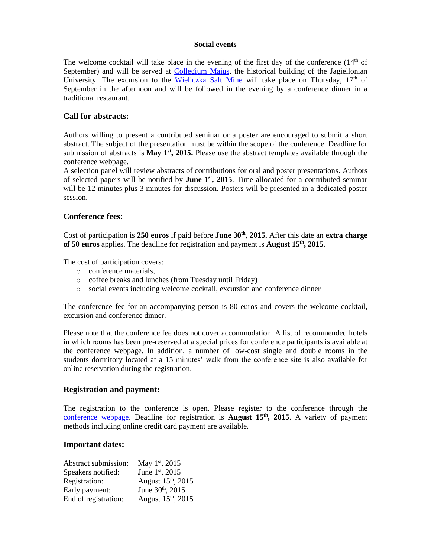#### **Social events**

The welcome cocktail will take place in the evening of the first day of the conference  $(14<sup>th</sup>$  of September) and will be served at [Collegium](http://www.uj.edu.pl/en_GB/uniwersytet/muzea/collegium-maius) Maius, the historical building of the Jagiellonian University. The excursion to the [Wieliczka](http://www.wieliczka-saltmine.com/) Salt Mine will take place on Thursday,  $17<sup>th</sup>$  of September in the afternoon and will be followed in the evening by a conference dinner in a traditional restaurant.

# **Call for abstracts:**

Authors willing to present a contributed seminar or a poster are encouraged to submit a short abstract. The subject of the presentation must be within the scope of the conference. Deadline for submission of abstracts is **May**  $1<sup>st</sup>$ **, 2015.** Please use the abstract templates available through the conference webpage.

A selection panel will review abstracts of contributions for oral and poster presentations. Authors of selected papers will be notified by **June 1<sup>st</sup>**, 2015. Time allocated for a contributed seminar will be 12 minutes plus 3 minutes for discussion. Posters will be presented in a dedicated poster session.

# **Conference fees:**

Cost of participation is **250 euros** if paid before **June 30th , 2015.** After this date an **extra charge of 50 euros** applies. The deadline for registration and payment is **August 15th, 2015**.

The cost of participation covers:

- o conference materials,
- o coffee breaks and lunches (from Tuesday until Friday)
- o social events including welcome cocktail, excursion and conference dinner

The conference fee for an accompanying person is 80 euros and covers the welcome cocktail, excursion and conference dinner.

Please note that the conference fee does not cover accommodation. A list of recommended hotels in which rooms has been pre-reserved at a special prices for conference participants is available at the conference webpage. In addition, a number of low-cost single and double rooms in the students dormitory located at a 15 minutes' walk from the conference site is also available for online reservation during the registration.

### **Registration and payment:**

The registration to the conference is open. Please register to the conference through the [conference webpage.](http://comex5.ifj.edu.pl/) Deadline for registration is **August 15th, 2015**. A variety of payment methods including online credit card payment are available.

### **Important dates:**

| Abstract submission: | May $1st$ , 2015               |
|----------------------|--------------------------------|
| Speakers notified:   | June 1st, 2015                 |
| Registration:        | August 15 <sup>th</sup> , 2015 |
| Early payment:       | June 30th, 2015                |
| End of registration: | August 15th, 2015              |